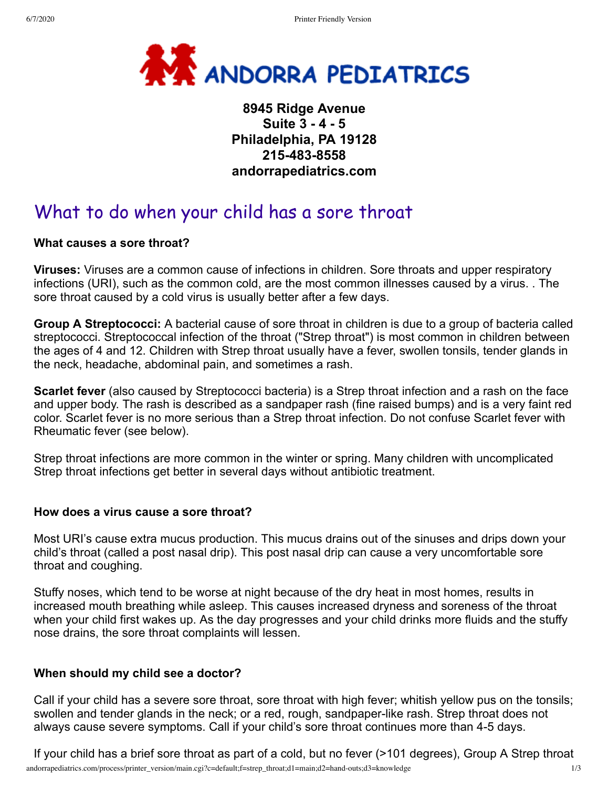

# **8945 Ridge Avenue Suite 3 - 4 - 5 Philadelphia, PA 19128 215-483-8558 andorrapediatrics.com**

# What to do when your child has a sore throat

#### **What causes a sore throat?**

**Viruses:** Viruses are a common cause of infections in children. Sore throats and upper respiratory infections (URI), such as the common cold, are the most common illnesses caused by a virus. . The sore throat caused by a cold virus is usually better after a few days.

**Group A Streptococci:** A bacterial cause of sore throat in children is due to a group of bacteria called streptococci. Streptococcal infection of the throat ("Strep throat") is most common in children between the ages of 4 and 12. Children with Strep throat usually have a fever, swollen tonsils, tender glands in the neck, headache, abdominal pain, and sometimes a rash.

**Scarlet fever** (also caused by Streptococci bacteria) is a Strep throat infection and a rash on the face and upper body. The rash is described as a sandpaper rash (fine raised bumps) and is a very faint red color. Scarlet fever is no more serious than a Strep throat infection. Do not confuse Scarlet fever with Rheumatic fever (see below).

Strep throat infections are more common in the winter or spring. Many children with uncomplicated Strep throat infections get better in several days without antibiotic treatment.

#### **How does a virus cause a sore throat?**

Most URI's cause extra mucus production. This mucus drains out of the sinuses and drips down your child's throat (called a post nasal drip). This post nasal drip can cause a very uncomfortable sore throat and coughing.

Stuffy noses, which tend to be worse at night because of the dry heat in most homes, results in increased mouth breathing while asleep. This causes increased dryness and soreness of the throat when your child first wakes up. As the day progresses and your child drinks more fluids and the stuffy nose drains, the sore throat complaints will lessen.

#### **When should my child see a doctor?**

Call if your child has a severe sore throat, sore throat with high fever; whitish yellow pus on the tonsils; swollen and tender glands in the neck; or a red, rough, sandpaper-like rash. Strep throat does not always cause severe symptoms. Call if your child's sore throat continues more than 4-5 days.

andorrapediatrics.com/process/printer\_version/main.cgi?c=default;f=strep\_throat;d1=main;d2=hand-outs;d3=knowledge 1/3 If your child has a brief sore throat as part of a cold, but no fever (>101 degrees), Group A Strep throat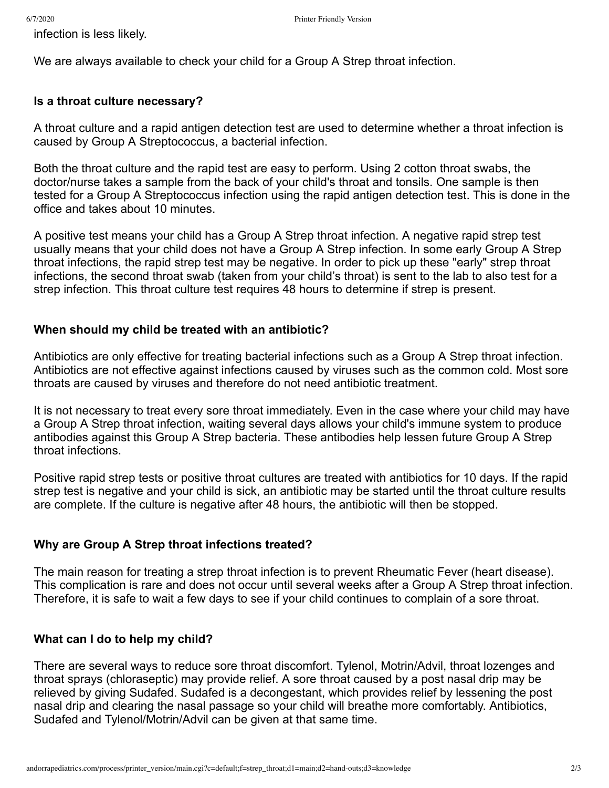infection is less likely.

We are always available to check your child for a Group A Strep throat infection.

#### **Is a throat culture necessary?**

A throat culture and a rapid antigen detection test are used to determine whether a throat infection is caused by Group A Streptococcus, a bacterial infection.

Both the throat culture and the rapid test are easy to perform. Using 2 cotton throat swabs, the doctor/nurse takes a sample from the back of your child's throat and tonsils. One sample is then tested for a Group A Streptococcus infection using the rapid antigen detection test. This is done in the office and takes about 10 minutes.

A positive test means your child has a Group A Strep throat infection. A negative rapid strep test usually means that your child does not have a Group A Strep infection. In some early Group A Strep throat infections, the rapid strep test may be negative. In order to pick up these "early" strep throat infections, the second throat swab (taken from your child's throat) is sent to the lab to also test for a strep infection. This throat culture test requires 48 hours to determine if strep is present.

#### **When should my child be treated with an antibiotic?**

Antibiotics are only effective for treating bacterial infections such as a Group A Strep throat infection. Antibiotics are not effective against infections caused by viruses such as the common cold. Most sore throats are caused by viruses and therefore do not need antibiotic treatment.

It is not necessary to treat every sore throat immediately. Even in the case where your child may have a Group A Strep throat infection, waiting several days allows your child's immune system to produce antibodies against this Group A Strep bacteria. These antibodies help lessen future Group A Strep throat infections.

Positive rapid strep tests or positive throat cultures are treated with antibiotics for 10 days. If the rapid strep test is negative and your child is sick, an antibiotic may be started until the throat culture results are complete. If the culture is negative after 48 hours, the antibiotic will then be stopped.

#### **Why are Group A Strep throat infections treated?**

The main reason for treating a strep throat infection is to prevent Rheumatic Fever (heart disease). This complication is rare and does not occur until several weeks after a Group A Strep throat infection. Therefore, it is safe to wait a few days to see if your child continues to complain of a sore throat.

#### **What can I do to help my child?**

There are several ways to reduce sore throat discomfort. Tylenol, Motrin/Advil, throat lozenges and throat sprays (chloraseptic) may provide relief. A sore throat caused by a post nasal drip may be relieved by giving Sudafed. Sudafed is a decongestant, which provides relief by lessening the post nasal drip and clearing the nasal passage so your child will breathe more comfortably. Antibiotics, Sudafed and Tylenol/Motrin/Advil can be given at that same time.